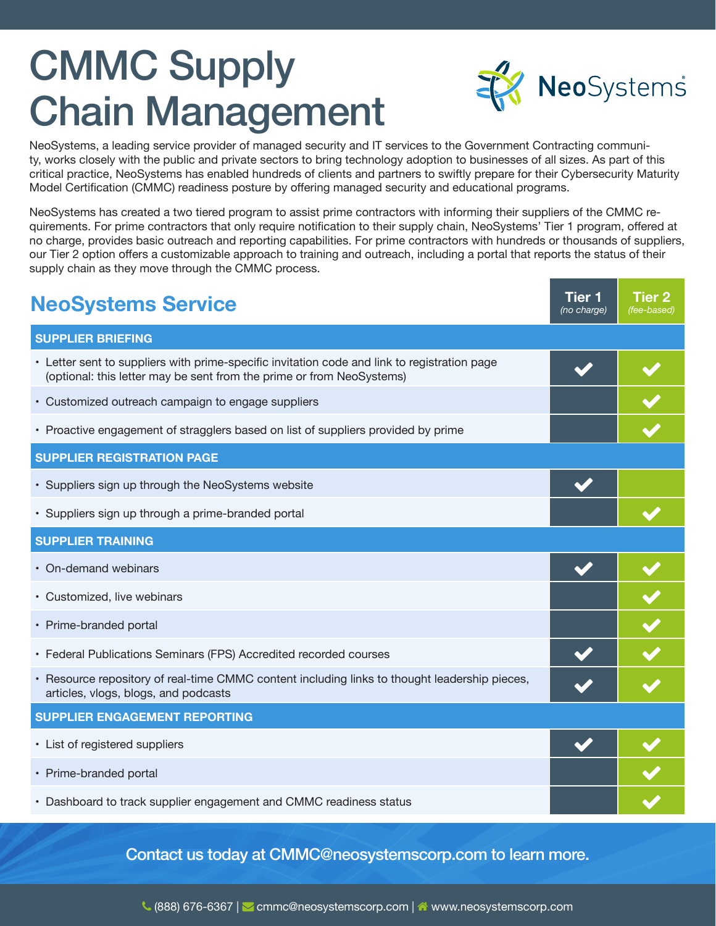# CMMC Supply Chain Management



NeoSystems, a leading service provider of managed security and IT services to the Government Contracting community, works closely with the public and private sectors to bring technology adoption to businesses of all sizes. As part of this critical practice, NeoSystems has enabled hundreds of clients and partners to swiftly prepare for their Cybersecurity Maturity Model Certification (CMMC) readiness posture by offering managed security and educational programs.

NeoSystems has created a two tiered program to assist prime contractors with informing their suppliers of the CMMC requirements. For prime contractors that only require notification to their supply chain, NeoSystems' Tier 1 program, offered at no charge, provides basic outreach and reporting capabilities. For prime contractors with hundreds or thousands of suppliers, our Tier 2 option offers a customizable approach to training and outreach, including a portal that reports the status of their supply chain as they move through the CMMC process.

| <b>NeoSystems Service</b>                                                                                                                                             | <b>Tier 1</b><br>(no charge) | <b>Tier 2</b><br>(fee-based) |  |  |
|-----------------------------------------------------------------------------------------------------------------------------------------------------------------------|------------------------------|------------------------------|--|--|
| <b>SUPPLIER BRIEFING</b>                                                                                                                                              |                              |                              |  |  |
| • Letter sent to suppliers with prime-specific invitation code and link to registration page<br>(optional: this letter may be sent from the prime or from NeoSystems) |                              |                              |  |  |
| • Customized outreach campaign to engage suppliers                                                                                                                    |                              |                              |  |  |
| • Proactive engagement of stragglers based on list of suppliers provided by prime                                                                                     |                              |                              |  |  |
| <b>SUPPLIER REGISTRATION PAGE</b>                                                                                                                                     |                              |                              |  |  |
| • Suppliers sign up through the NeoSystems website                                                                                                                    |                              |                              |  |  |
| · Suppliers sign up through a prime-branded portal                                                                                                                    |                              |                              |  |  |
| <b>SUPPLIER TRAINING</b>                                                                                                                                              |                              |                              |  |  |
| • On-demand webinars                                                                                                                                                  |                              |                              |  |  |
| • Customized, live webinars                                                                                                                                           |                              |                              |  |  |
| • Prime-branded portal                                                                                                                                                |                              |                              |  |  |
| • Federal Publications Seminars (FPS) Accredited recorded courses                                                                                                     |                              |                              |  |  |
| • Resource repository of real-time CMMC content including links to thought leadership pieces,<br>articles, vlogs, blogs, and podcasts                                 |                              |                              |  |  |
| SUPPLIER ENGAGEMENT REPORTING                                                                                                                                         |                              |                              |  |  |
| • List of registered suppliers                                                                                                                                        |                              |                              |  |  |
| • Prime-branded portal                                                                                                                                                |                              |                              |  |  |
| • Dashboard to track supplier engagement and CMMC readiness status                                                                                                    |                              |                              |  |  |

Contact us today at CMMC@neosystemscorp.com to learn more.